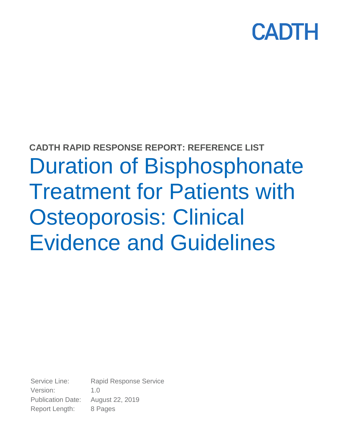

# **CADTH RAPID RESPONSE REPORT: REFERENCE LIST** Duration of Bisphosphonate Treatment for Patients with Osteoporosis: Clinical Evidence and Guidelines

Service Line: Rapid Response Service Version: 1.0 Publication Date: August 22, 2019 Report Length: 8 Pages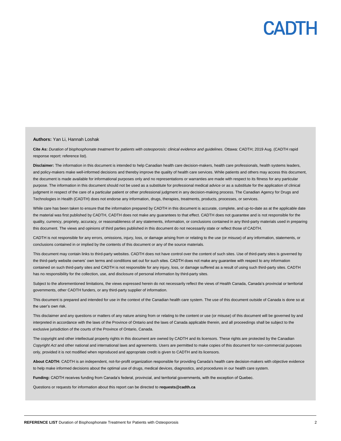

#### **Authors:** Yan Li, Hannah Loshak

**Cite As:** *Duration of bisphosphonate treatment for patients with osteoporosis: clinical evidence and guidelines*. Ottawa: CADTH; 2019 Aug. (CADTH rapid response report: reference list).

Disclaimer: The information in this document is intended to help Canadian health care decision-makers, health care professionals, health systems leaders, and policy-makers make well-informed decisions and thereby improve the quality of health care services. While patients and others may access this document, the document is made available for informational purposes only and no representations or warranties are made with respect to its fitness for any particular purpose. The information in this document should not be used as a substitute for professional medical advice or as a substitute for the application of clinical judgment in respect of the care of a particular patient or other professional judgment in any decision-making process. The Canadian Agency for Drugs and Technologies in Health (CADTH) does not endorse any information, drugs, therapies, treatments, products, processes, or services.

While care has been taken to ensure that the information prepared by CADTH in this document is accurate, complete, and up-to-date as at the applicable date the material was first published by CADTH, CADTH does not make any guarantees to that effect. CADTH does not guarantee and is not responsible for the quality, currency, propriety, accuracy, or reasonableness of any statements, information, or conclusions contained in any third-party materials used in preparing this document. The views and opinions of third parties published in this document do not necessarily state or reflect those of CADTH.

CADTH is not responsible for any errors, omissions, injury, loss, or damage arising from or relating to the use (or misuse) of any information, statements, or conclusions contained in or implied by the contents of this document or any of the source materials.

This document may contain links to third-party websites. CADTH does not have control over the content of such sites. Use of third-party sites is governed by the third-party website owners' own terms and conditions set out for such sites. CADTH does not make any guarantee with respect to any information contained on such third-party sites and CADTH is not responsible for any injury, loss, or damage suffered as a result of using such third-party sites. CADTH has no responsibility for the collection, use, and disclosure of personal information by third-party sites.

Subject to the aforementioned limitations, the views expressed herein do not necessarily reflect the views of Health Canada, Canada's provincial or territorial governments, other CADTH funders, or any third-party supplier of information.

This document is prepared and intended for use in the context of the Canadian health care system. The use of this document outside of Canada is done so at the user's own risk.

This disclaimer and any questions or matters of any nature arising from or relating to the content or use (or misuse) of this document will be governed by and interpreted in accordance with the laws of the Province of Ontario and the laws of Canada applicable therein, and all proceedings shall be subject to the exclusive jurisdiction of the courts of the Province of Ontario, Canada.

The copyright and other intellectual property rights in this document are owned by CADTH and its licensors. These rights are protected by the Canadian *Copyright Act* and other national and international laws and agreements. Users are permitted to make copies of this document for non-commercial purposes only, provided it is not modified when reproduced and appropriate credit is given to CADTH and its licensors.

**About CADTH:** CADTH is an independent, not-for-profit organization responsible for providing Canada's health care decision-makers with objective evidence to help make informed decisions about the optimal use of drugs, medical devices, diagnostics, and procedures in our health care system.

**Funding:** CADTH receives funding from Canada's federal, provincial, and territorial governments, with the exception of Quebec.

Questions or requests for information about this report can be directed to **requests@cadth.ca**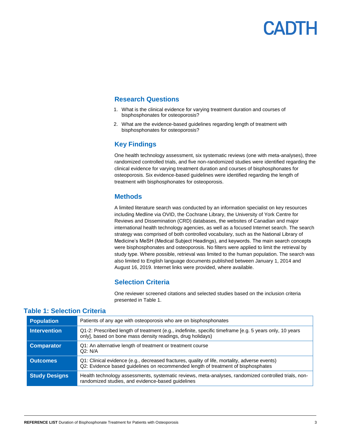#### **Research Questions**

- 1. What is the clinical evidence for varying treatment duration and courses of bisphosphonates for osteoporosis?
- 2. What are the evidence-based guidelines regarding length of treatment with bisphosphonates for osteoporosis?

#### **Key Findings**

One health technology assessment, six systematic reviews (one with meta-analyses), three randomized controlled trials, and five non-randomized studies were identified regarding the clinical evidence for varying treatment duration and courses of bisphosphonates for osteoporosis. Six evidence-based guidelines were identified regarding the length of treatment with bisphosphonates for osteoporosis.

#### **Methods**

A limited literature search was conducted by an information specialist on key resources including Medline via OVID, the Cochrane Library, the University of York Centre for Reviews and Dissemination (CRD) databases, the websites of Canadian and major international health technology agencies, as well as a focused Internet search. The search strategy was comprised of both controlled vocabulary, such as the National Library of Medicine's MeSH (Medical Subject Headings), and keywords. The main search concepts were bisphosphonates and osteoporosis. No filters were applied to limit the retrieval by study type. Where possible, retrieval was limited to the human population. The search was also limited to English language documents published between January 1, 2014 and August 16, 2019. Internet links were provided, where available.

#### **Selection Criteria**

One reviewer screened citations and selected studies based on the inclusion criteria presented in Table 1.

| <b>Population</b>    | Patients of any age with osteoporosis who are on bisphosphonates                                                                                                                   |
|----------------------|------------------------------------------------------------------------------------------------------------------------------------------------------------------------------------|
| <b>Intervention</b>  | Q1-2: Prescribed length of treatment (e.g., indefinite, specific timeframe [e.g. 5 years only, 10 years<br>only], based on bone mass density readings, drug holidays)              |
| <b>Comparator</b>    | Q1: An alternative length of treatment or treatment course<br>Q2: N/A                                                                                                              |
| <b>Outcomes</b>      | Q1: Clinical evidence (e.g., decreased fractures, quality of life, mortality, adverse events)<br>Q2: Evidence based guidelines on recommended length of treatment of bisphosphates |
| <b>Study Designs</b> | Health technology assessments, systematic reviews, meta-analyses, randomized controlled trials, non-<br>randomized studies, and evidence-based guidelines                          |

#### **Table 1: Selection Criteria**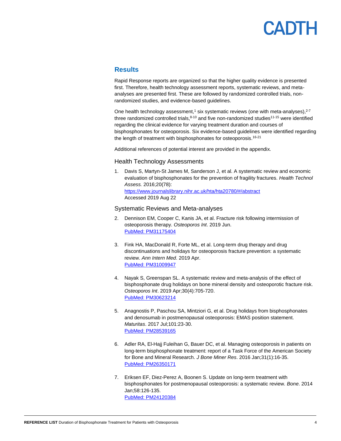## **ADTH**

#### **Results**

Rapid Response reports are organized so that the higher quality evidence is presented first. Therefore, health technology assessment reports, systematic reviews, and metaanalyses are presented first. These are followed by randomized controlled trials, nonrandomized studies, and evidence-based guidelines.

One health technology assessment,<sup>1</sup> six systematic reviews (one with meta-analyses),<sup>2-7</sup> three randomized controlled trials, $8-10$  and five non-randomized studies<sup>11-15</sup> were identified regarding the clinical evidence for varying treatment duration and courses of bisphosphonates for osteoporosis. Six evidence-based guidelines were identified regarding the length of treatment with bisphosphonates for osteoporosis.<sup>16-21</sup>

Additional references of potential interest are provided in the appendix.

#### Health Technology Assessments

1. Davis S, Martyn-St James M, Sanderson J, et al. A systematic review and economic evaluation of bisphosphonates for the prevention of fragility fractures. *Health Technol Assess.* 2016;20(78): <https://www.journalslibrary.nihr.ac.uk/hta/hta20780/#/abstract> Accessed 2019 Aug 22

#### Systematic Reviews and Meta-analyses

- 2. Dennison EM, Cooper C, Kanis JA, et al. Fracture risk following intermission of osteoporosis therapy. *Osteoporos Int*. 2019 Jun. [PubMed: PM31175404](http://www.ncbi.nlm.nih.gov/pubmed/31175404)
- 3. Fink HA, MacDonald R, Forte ML, et al. Long-term drug therapy and drug discontinuations and holidays for osteoporosis fracture prevention: a systematic review. *Ann Intern Med*. 2019 Apr. [PubMed: PM31009947](http://www.ncbi.nlm.nih.gov/pubmed/31009947)
- 4. Nayak S, Greenspan SL. A systematic review and meta-analysis of the effect of bisphosphonate drug holidays on bone mineral density and osteoporotic fracture risk. *Osteoporos Int*. 2019 Apr;30(4):705-720. [PubMed: PM30623214](http://www.ncbi.nlm.nih.gov/pubmed/30623214)
- 5. Anagnostis P, Paschou SA, Mintziori G, et al. Drug holidays from bisphosphonates and denosumab in postmenopausal osteoporosis: EMAS position statement. *Maturitas*. 2017 Jul;101:23-30. [PubMed: PM28539165](http://www.ncbi.nlm.nih.gov/pubmed/28539165)
- 6. Adler RA, El-Hajj Fuleihan G, Bauer DC, et al. Managing osteoporosis in patients on long-term bisphosphonate treatment: report of a Task Force of the American Society for Bone and Mineral Research. *J Bone Miner Res*. 2016 Jan;31(1):16-35. [PubMed: PM26350171](http://www.ncbi.nlm.nih.gov/pubmed/26350171)
- 7. Eriksen EF, Diez-Perez A, Boonen S. Update on long-term treatment with bisphosphonates for postmenopausal osteoporosis: a systematic review. *Bone*. 2014 Jan;58:126-135. [PubMed: PM24120384](http://www.ncbi.nlm.nih.gov/pubmed/24120384)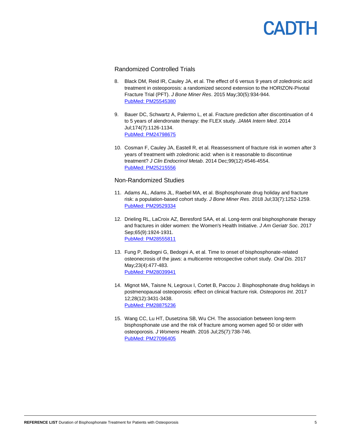#### Randomized Controlled Trials

- 8. Black DM, Reid IR, Cauley JA, et al. The effect of 6 versus 9 years of zoledronic acid treatment in osteoporosis: a randomized second extension to the HORIZON-Pivotal Fracture Trial (PFT). *J Bone Miner Res*. 2015 May;30(5):934-944. [PubMed: PM25545380](http://www.ncbi.nlm.nih.gov/pubmed/25545380)
- 9. Bauer DC, Schwartz A, Palermo L, et al. Fracture prediction after discontinuation of 4 to 5 years of alendronate therapy: the FLEX study. *JAMA Intern Med*. 2014 Jul;174(7):1126-1134. [PubMed: PM24798675](http://www.ncbi.nlm.nih.gov/pubmed/24798675)
- 10. Cosman F, Cauley JA, Eastell R, et al. Reassessment of fracture risk in women after 3 years of treatment with zoledronic acid: when is it reasonable to discontinue treatment? *J Clin Endocrinol Metab*. 2014 Dec;99(12):4546-4554. [PubMed: PM25215556](http://www.ncbi.nlm.nih.gov/pubmed/25215556)

#### Non-Randomized Studies

- 11. Adams AL, Adams JL, Raebel MA, et al. Bisphosphonate drug holiday and fracture risk: a population-based cohort study. *J Bone Miner Res*. 2018 Jul;33(7):1252-1259. [PubMed: PM29529334](http://www.ncbi.nlm.nih.gov/pubmed/29529334)
- 12. Drieling RL, LaCroix AZ, Beresford SAA, et al. Long-term oral bisphosphonate therapy and fractures in older women: the Women's Health Initiative. *J Am Geriatr Soc*. 2017 Sep;65(9):1924-1931. [PubMed: PM28555811](http://www.ncbi.nlm.nih.gov/pubmed/28555811)
- 13. Fung P, Bedogni G, Bedogni A, et al. Time to onset of bisphosphonate-related osteonecrosis of the jaws: a multicentre retrospective cohort study. *Oral Dis*. 2017 May;23(4):477-483. [PubMed: PM28039941](http://www.ncbi.nlm.nih.gov/pubmed/28039941)
- 14. Mignot MA, Taisne N, Legroux I, Cortet B, Paccou J. Bisphosphonate drug holidays in postmenopausal osteoporosis: effect on clinical fracture risk. *Osteoporos Int*. 2017 12;28(12):3431-3438. [PubMed: PM28875236](http://www.ncbi.nlm.nih.gov/pubmed/28875236)
- 15. Wang CC, Lu HT, Dusetzina SB, Wu CH. The association between long-term bisphosphonate use and the risk of fracture among women aged 50 or older with osteoporosis. *J Womens Health*. 2016 Jul;25(7):738-746. [PubMed: PM27096405](http://www.ncbi.nlm.nih.gov/pubmed/27096405)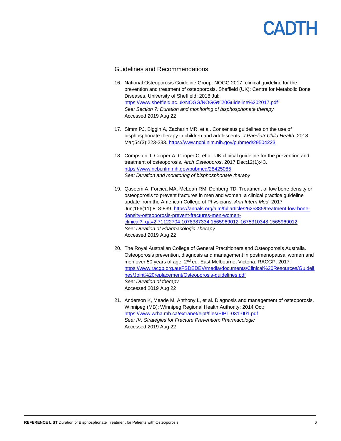#### Guidelines and Recommendations

- 16. National Osteoporosis Guideline Group. NOGG 2017: clinical guideline for the prevention and treatment of osteoporosis. Sheffield (UK): Centre for Metabolic Bone Diseases, University of Sheffield; 2018 Jul: <https://www.sheffield.ac.uk/NOGG/NOGG%20Guideline%202017.pdf> *See: Section 7: Duration and monitoring of bisphosphonate therapy*  Accessed 2019 Aug 22
- 17. Simm PJ, Biggin A, Zacharin MR, et al. Consensus guidelines on the use of bisphosphonate therapy in children and adolescents. *J Paediatr Child Health*. 2018 Mar;54(3):223-233.<https://www.ncbi.nlm.nih.gov/pubmed/29504223>
- 18. Compston J, Cooper A, Cooper C, et al. UK clinical guideline for the prevention and treatment of osteoporosis. *Arch Osteoporos*. 2017 Dec;12(1):43. <https://www.ncbi.nlm.nih.gov/pubmed/28425085> *See: Duration and monitoring of bisphosphonate therapy*
- 19. Qaseem A, Forciea MA, McLean RM, Denberg TD. Treatment of low bone density or osteoporosis to prevent fractures in men and women: a clinical practice guideline update from the American College of Physicians. *Ann Intern Med.* 2017 Jun;166(11):818-839. [https://annals.org/aim/fullarticle/2625385/treatment-low-bone](https://annals.org/aim/fullarticle/2625385/treatment-low-bone-density-osteoporosis-prevent-fractures-men-women-clinical?_ga=2.71122704.1078387334.1565969012-1675310348.1565969012)[density-osteoporosis-prevent-fractures-men-women](https://annals.org/aim/fullarticle/2625385/treatment-low-bone-density-osteoporosis-prevent-fractures-men-women-clinical?_ga=2.71122704.1078387334.1565969012-1675310348.1565969012)[clinical?\\_ga=2.71122704.1078387334.1565969012-1675310348.1565969012](https://annals.org/aim/fullarticle/2625385/treatment-low-bone-density-osteoporosis-prevent-fractures-men-women-clinical?_ga=2.71122704.1078387334.1565969012-1675310348.1565969012) *See: Duration of Pharmacologic Therapy*  Accessed 2019 Aug 22
- 20. The Royal Australian College of General Practitioners and Osteoporosis Australia. Osteoporosis prevention, diagnosis and management in postmenopausal women and men over 50 years of age. 2<sup>nd</sup> ed. East Melbourne, Victoria: RACGP; 2017: [https://www.racgp.org.au/FSDEDEV/media/documents/Clinical%20Resources/Guideli](https://www.racgp.org.au/FSDEDEV/media/documents/Clinical%20Resources/Guidelines/Joint%20replacement/Osteoporosis-guidelines.pdf) [nes/Joint%20replacement/Osteoporosis-guidelines.pdf](https://www.racgp.org.au/FSDEDEV/media/documents/Clinical%20Resources/Guidelines/Joint%20replacement/Osteoporosis-guidelines.pdf) *See: Duration of therapy*  Accessed 2019 Aug 22
- 21. Anderson K, Meade M, Anthony L, et al. Diagnosis and management of osteoporosis. Winnipeg (MB): Winnipeg Regional Health Authority; 2014 Oct: <https://www.wrha.mb.ca/extranet/eipt/files/EIPT-031-001.pdf> *See: IV. Strategies for Fracture Prevention: Pharmacologic*  Accessed 2019 Aug 22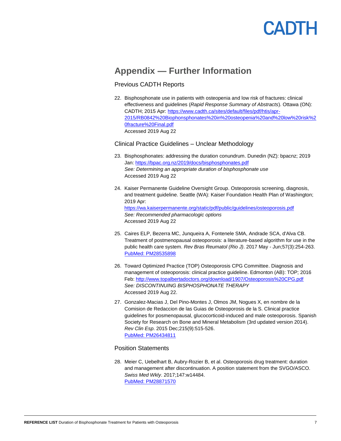### **Appendix — Further Information**

#### Previous CADTH Reports

22. Bisphosphonate use in patients with osteopenia and low risk of fractures: clinical effectiveness and guidelines (*Rapid Response Summary of Abstracts*). Ottawa (ON): CADTH; 2015 Apr: [https://www.cadth.ca/sites/default/files/pdf/htis/apr-](https://www.cadth.ca/sites/default/files/pdf/htis/apr-2015/RB0842%20Biophonsphonates%20in%20osteopenia%20and%20low%20risk%20fracture%20Final.pdf)[2015/RB0842%20Biophonsphonates%20in%20osteopenia%20and%20low%20risk%2](https://www.cadth.ca/sites/default/files/pdf/htis/apr-2015/RB0842%20Biophonsphonates%20in%20osteopenia%20and%20low%20risk%20fracture%20Final.pdf) [0fracture%20Final.pdf](https://www.cadth.ca/sites/default/files/pdf/htis/apr-2015/RB0842%20Biophonsphonates%20in%20osteopenia%20and%20low%20risk%20fracture%20Final.pdf) Accessed 2019 Aug 22

#### Clinical Practice Guidelines – Unclear Methodology

- 23. Bisphosphonates: addressing the duration conundrum. Dunedin (NZ): bpacnz; 2019 Jan:<https://bpac.org.nz/2019/docs/bisphosphonates.pdf> *See: Determining an appropriate duration of bisphosphonate use* Accessed 2019 Aug 22
- 24. Kaiser Permanente Guideline Oversight Group. Osteoporosis screening, diagnosis, and treatment guideline. Seattle (WA): Kaiser Foundation Health Plan of Washington; 2019 Apr: <https://wa.kaiserpermanente.org/static/pdf/public/guidelines/osteoporosis.pdf> *See: Recommended pharmacologic options*  Accessed 2019 Aug 22
- 25. Caires ELP, Bezerra MC, Junqueira A, Fontenele SMA, Andrade SCA, d'Alva CB. Treatment of postmenopausal osteoporosis: a literature-based algorithm for use in the public health care system. *Rev Bras Reumatol (Rio J)*. 2017 May - Jun;57(3):254-263. [PubMed: PM28535898](http://www.ncbi.nlm.nih.gov/pubmed/28535898)
- 26. Toward Optimized Practice (TOP) Osteoporosis CPG Committee. Diagnosis and management of osteoporosis: clinical practice guideline. Edmonton (AB): TOP; 2016 Feb: <http://www.topalbertadoctors.org/download/1907/Osteoporosis%20CPG.pdf> *See: DISCONTINUING BISPHOSPHONATE THERAPY* Accessed 2019 Aug 22.
- 27. Gonzalez-Macias J, Del Pino-Montes J, Olmos JM, Nogues X, en nombre de la Comision de Redaccion de las Guias de Osteoporosis de la S. Clinical practice guidelines for posmenopausal, glucocorticoid-induced and male osteoporosis. Spanish Society for Research on Bone and Mineral Metabolism (3rd updated version 2014). *Rev Clin Esp*. 2015 Dec;215(9):515-526. [PubMed: PM26434811](http://www.ncbi.nlm.nih.gov/pubmed/26434811)

#### Position Statements

28. Meier C, Uebelhart B, Aubry-Rozier B, et al. Osteoporosis drug treatment: duration and management after discontinuation. A position statement from the SVGO/ASCO. *Swiss Med Wkly*. 2017;147:w14484. [PubMed: PM28871570](http://www.ncbi.nlm.nih.gov/pubmed/28871570)